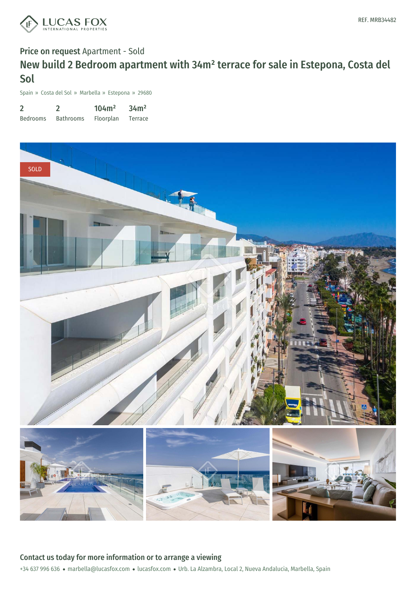

# Price on request Apartment - Sold New build 2 Bedroom apartment with 34m² terrace for sale in Estepona, Costa del Sol

Spain » Costa del Sol » Marbella » Estepona » 29680

| $\overline{2}$  |                  | 104m <sup>2</sup> | 34m <sup>2</sup> |
|-----------------|------------------|-------------------|------------------|
| <b>Bedrooms</b> | <b>Bathrooms</b> | Floorplan         | Terrace          |



+34 637 996 636 · marbella@lucasfox.com · lucasfox.com · Urb. La Alzambra, Local 2, Nueva Andalucia, Marbella, Spain Contact us today for more information or to arrange a viewing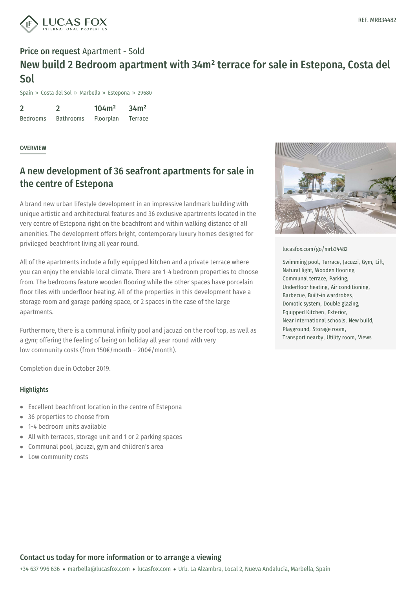

## Price on request Apartment - Sold New build 2 Bedroom apartment with 34m² terrace for sale in Estepona, Costa del Sol

Spain » Costa del Sol » Marbella » Estepona » 29680

2 Bedrooms 2 Bathrooms 104m² Floorplan 34m² Terrace

#### **OVERVIEW**

### A new development of 36 seafront apartments for sale in the centre of Estepona

A brand new urban lifestyle development in an impressive landmark building with unique artistic and architectural features and 36 exclusive apartments located in the very centre of Estepona right on the beachfront and within walking distance of all amenities. The development offers bright, contemporary luxury homes designed for privileged beachfront living all year round.

All of the apartments include a fully equipped kitchen and a private terrace where you can enjoy the enviable local climate. There are 1-4 bedroom properties to choose from. The bedrooms feature wooden flooring while the other spaces have porcelain floor tiles with underfloor heating. All of the properties in this development have a storage room and garage parking space, or 2 spaces in the case of the large apartments.

Furthermore, there is a communal infinity pool and jacuzzi on the roof top, as well as a gym; offering the feeling of being on holiday all year round with very low community costs (from 150€/month – 200€/month).

Completion due in October 2019.

#### **Highlights**

- Excellent beachfront location in the centre of Estepona
- 36 properties to choose from  $\bullet$
- 1-4 bedroom units [available](mailto:marbella@lucasfox.com)
- All with terraces, storage unit and 1 or 2 parking spaces  $\bullet$
- Communal pool, jacuzzi, gym and children's area
- Low community costs



#### [lucasfox.com/go/mrb34482](https://www.lucasfox.com/go/mrb34482)

Swimming pool, Terrace, Jacuzzi, Gym, Lift, Natural light, Wooden flooring, Communal terrace, Parking, Underfloor heating, Air conditioning, Barbecue, Built-in wardrobes, Domotic system, Double glazing, Equipped Kitchen, Exterior, Near international schools, New build, Playground, Storage room, Transport nearby, Utility room, Views

### Contact us today for more information or to arrange a viewing